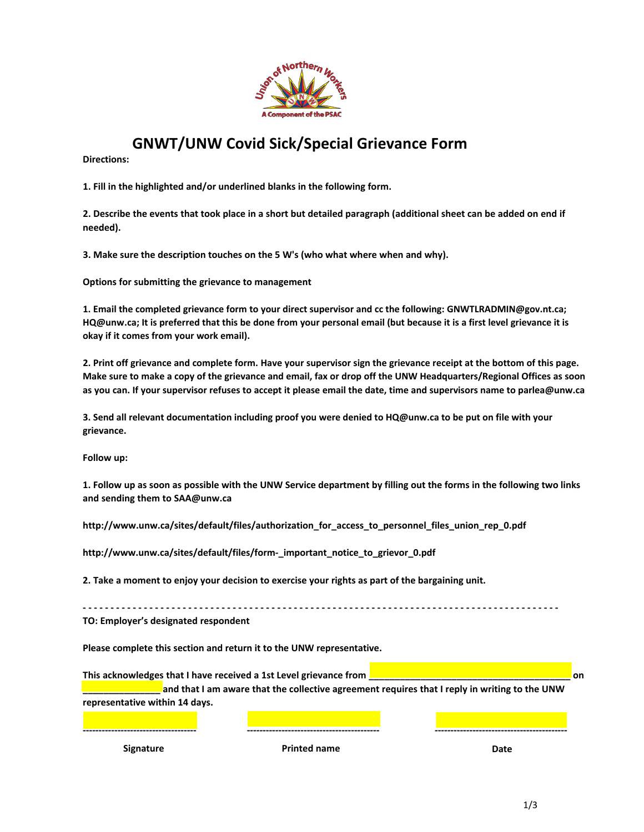

## **GNWT/UNW Covid Sick/Special Grievance Form**

**Directions:** 

**1. Fill in the highlighted and/or underlined blanks in the following form.**

**2. Describe the events that took place in a short but detailed paragraph (additional sheet can be added on end if needed).**

**3. Make sure the description touches on the 5 W's (who what where when and why).** 

**Options for submitting the grievance to management**

**1. Email the completed grievance form to your direct supervisor and cc the following: GNWTLRADMIN@gov.nt.ca; HQ@unw.ca; It is preferred that this be done from your personal email (but because it is a first level grievance it is okay if it comes from your work email).**

**2. Print off grievance and complete form. Have your supervisor sign the grievance receipt at the bottom of this page. Make sure to make a copy of the grievance and email, fax or drop off the UNW Headquarters/Regional Offices as soon as you can. If your supervisor refuses to accept it please email the date, time and supervisors name to parlea@unw.ca**

**3. Send all relevant documentation including proof you were denied to HQ@unw.ca to be put on file with your grievance.**

**Follow up:**

**1. Follow up as soon as possible with the UNW Service department by filling out the forms in the following two links and sending them to SAA@unw.ca**

**http://www.unw.ca/sites/default/files/authorization\_for\_access\_to\_personnel\_files\_union\_rep\_0.pdf** 

**http://www.unw.ca/sites/default/files/form-\_important\_notice\_to\_grievor\_0.pdf**

**2. Take a moment to enjoy your decision to exercise your rights as part of the bargaining unit.**

**- - - - - - - - - - - - - - - - - - - - - - - - - - - - - - - - - - - - - - - - - - - - - - - - - - - - - - - - - - - - - - - - - - - - - - - - - - - - - - - - - - - - - - TO: Employer's designated respondent**

**Please complete this section and return it to the UNW representative.**

**This acknowledges that I have received a 1st Level grievance from \_\_\_\_\_\_\_\_\_\_\_\_\_\_\_\_\_\_\_\_\_\_\_\_\_\_\_\_\_\_\_\_\_\_\_\_\_\_\_ on \_\_\_\_\_\_\_\_\_\_\_\_\_\_\_ and that I am aware that the collective agreement requires that I reply in writing to the UNW representative within 14 days.**

**------------------------------------ ------------------------------------------ ------------------------------------------**

**Signature Printed name Date**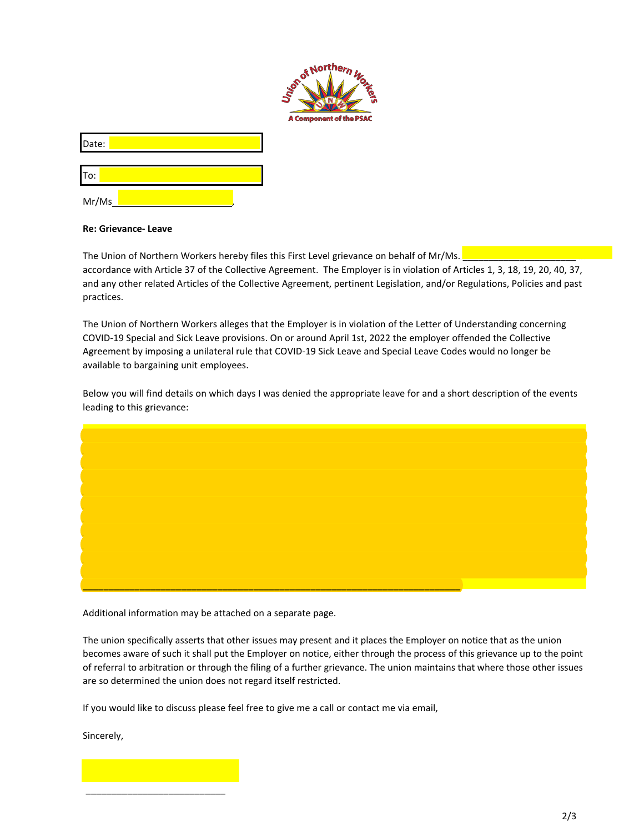

| lDate∙ |  |
|--------|--|
|        |  |

To:

Mr/Ms,

## **Re: Grievance- Leave**

The Union of Northern Workers hereby files this First Level grievance on behalf of Mr/Ms. accordance with Article 37 of the Collective Agreement. The Employer is in violation of Articles 1, 3, 18, 19, 20, 40, 37, and any other related Articles of the Collective Agreement, pertinent Legislation, and/or Regulations, Policies and past practices.

The Union of Northern Workers alleges that the Employer is in violation of the Letter of Understanding concerning COVID-19 Special and Sick Leave provisions. On or around April 1st, 2022 the employer offended the Collective Agreement by imposing a unilateral rule that COVID-19 Sick Leave and Special Leave Codes would no longer be available to bargaining unit employees.

Below you will find details on which days I was denied the appropriate leave for and a short description of the events leading to this grievance:



Additional information may be attached on a separate page.

The union specifically asserts that other issues may present and it places the Employer on notice that as the union becomes aware of such it shall put the Employer on notice, either through the process of this grievance up to the point of referral to arbitration or through the filing of a further grievance. The union maintains that where those other issues are so determined the union does not regard itself restricted.

If you would like to discuss please feel free to give me a call or contact me via email,

Sincerely,

\_\_\_\_\_\_\_\_\_\_\_\_\_\_\_\_\_\_\_\_\_\_\_\_\_\_\_